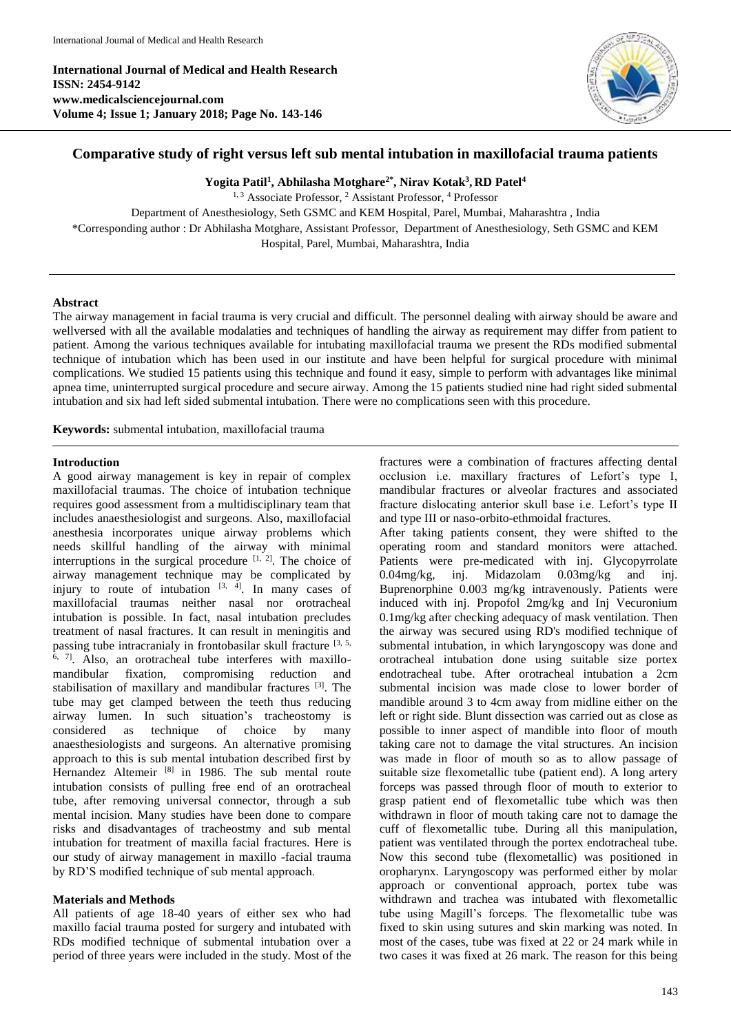**International Journal of Medical and Health Research ISSN: 2454-9142 www.medicalsciencejournal.com Volume 4; Issue 1; January 2018; Page No. 143-146**



# **Comparative study of right versus left sub mental intubation in maxillofacial trauma patients**

**Yogita Patil 1 , Abhilasha Motghare2\* , Nirav Kotak<sup>3</sup> , RD Patel<sup>4</sup>**

<sup>1, 3</sup> Associate Professor, <sup>2</sup> Assistant Professor, <sup>4</sup> Professor Department of Anesthesiology, Seth GSMC and KEM Hospital, Parel, Mumbai, Maharashtra , India \*Corresponding author : Dr Abhilasha Motghare, Assistant Professor, Department of Anesthesiology, Seth GSMC and KEM Hospital, Parel, Mumbai, Maharashtra, India

### **Abstract**

The airway management in facial trauma is very crucial and difficult. The personnel dealing with airway should be aware and wellversed with all the available modalaties and techniques of handling the airway as requirement may differ from patient to patient. Among the various techniques available for intubating maxillofacial trauma we present the RDs modified submental technique of intubation which has been used in our institute and have been helpful for surgical procedure with minimal complications. We studied 15 patients using this technique and found it easy, simple to perform with advantages like minimal apnea time, uninterrupted surgical procedure and secure airway. Among the 15 patients studied nine had right sided submental intubation and six had left sided submental intubation. There were no complications seen with this procedure.

**Keywords:** submental intubation, maxillofacial trauma

#### **Introduction**

A good airway management is key in repair of complex maxillofacial traumas. The choice of intubation technique requires good assessment from a multidisciplinary team that includes anaesthesiologist and surgeons. Also, maxillofacial anesthesia incorporates unique airway problems which needs skillful handling of the airway with minimal interruptions in the surgical procedure  $[1, 2]$ . The choice of airway management technique may be complicated by injury to route of intubation  $[3, 4]$ . In many cases of maxillofacial traumas neither nasal nor orotracheal intubation is possible. In fact, nasal intubation precludes treatment of nasal fractures. It can result in meningitis and passing tube intracranialy in frontobasilar skull fracture [3, 5, <sup>6, 7]</sup>. Also, an orotracheal tube interferes with maxillomandibular fixation, compromising reduction and stabilisation of maxillary and mandibular fractures [3]. The tube may get clamped between the teeth thus reducing airway lumen. In such situation's tracheostomy is considered as technique of choice by many anaesthesiologists and surgeons. An alternative promising approach to this is sub mental intubation described first by Hernandez Altemeir<sup>[8]</sup> in 1986. The sub mental route intubation consists of pulling free end of an orotracheal tube, after removing universal connector, through a sub mental incision. Many studies have been done to compare risks and disadvantages of tracheostmy and sub mental intubation for treatment of maxilla facial fractures. Here is our study of airway management in maxillo -facial trauma by RD'S modified technique of sub mental approach.

## **Materials and Methods**

All patients of age 18-40 years of either sex who had maxillo facial trauma posted for surgery and intubated with RDs modified technique of submental intubation over a period of three years were included in the study. Most of the fractures were a combination of fractures affecting dental occlusion i.e. maxillary fractures of Lefort's type I, mandibular fractures or alveolar fractures and associated fracture dislocating anterior skull base i.e. Lefort's type II and type III or naso-orbito-ethmoidal fractures.

After taking patients consent, they were shifted to the operating room and standard monitors were attached. Patients were pre-medicated with inj. Glycopyrrolate 0.04mg/kg, inj. Midazolam 0.03mg/kg and inj. Buprenorphine 0.003 mg/kg intravenously. Patients were induced with inj. Propofol 2mg/kg and Inj Vecuronium 0.1mg/kg after checking adequacy of mask ventilation. Then the airway was secured using RD's modified technique of submental intubation, in which laryngoscopy was done and orotracheal intubation done using suitable size portex endotracheal tube. After orotracheal intubation a 2cm submental incision was made close to lower border of mandible around 3 to 4cm away from midline either on the left or right side. Blunt dissection was carried out as close as possible to inner aspect of mandible into floor of mouth taking care not to damage the vital structures. An incision was made in floor of mouth so as to allow passage of suitable size flexometallic tube (patient end). A long artery forceps was passed through floor of mouth to exterior to grasp patient end of flexometallic tube which was then withdrawn in floor of mouth taking care not to damage the cuff of flexometallic tube. During all this manipulation, patient was ventilated through the portex endotracheal tube. Now this second tube (flexometallic) was positioned in oropharynx. Laryngoscopy was performed either by molar approach or conventional approach, portex tube was withdrawn and trachea was intubated with flexometallic tube using Magill's forceps. The flexometallic tube was fixed to skin using sutures and skin marking was noted. In most of the cases, tube was fixed at 22 or 24 mark while in two cases it was fixed at 26 mark. The reason for this being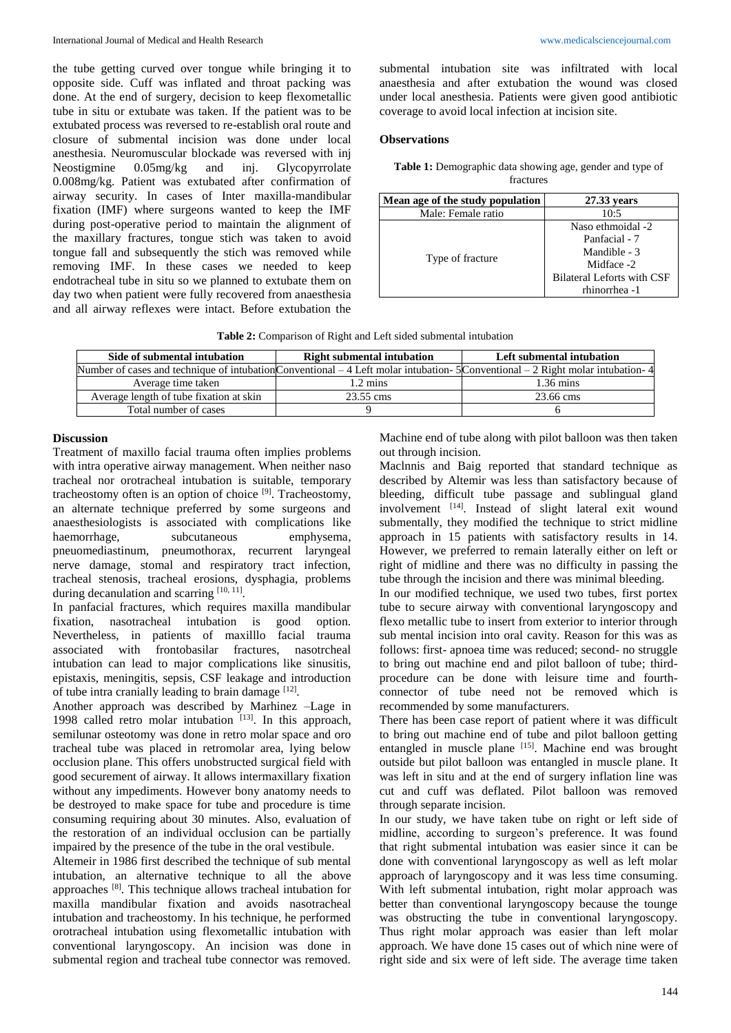the tube getting curved over tongue while bringing it to opposite side. Cuff was inflated and throat packing was done. At the end of surgery, decision to keep flexometallic tube in situ or extubate was taken. If the patient was to be extubated process was reversed to re-establish oral route and closure of submental incision was done under local anesthesia. Neuromuscular blockade was reversed with inj Neostigmine 0.05mg/kg and inj. Glycopyrrolate 0.008mg/kg. Patient was extubated after confirmation of airway security. In cases of Inter maxilla-mandibular fixation (IMF) where surgeons wanted to keep the IMF during post-operative period to maintain the alignment of the maxillary fractures, tongue stich was taken to avoid tongue fall and subsequently the stich was removed while removing IMF. In these cases we needed to keep endotracheal tube in situ so we planned to extubate them on day two when patient were fully recovered from anaesthesia and all airway reflexes were intact. Before extubation the

submental intubation site was infiltrated with local anaesthesia and after extubation the wound was closed under local anesthesia. Patients were given good antibiotic coverage to avoid local infection at incision site.

## **Observations**

| Table 1: Demographic data showing age, gender and type of |  |
|-----------------------------------------------------------|--|
| fractures                                                 |  |

| Mean age of the study population | 27.33 years                                                                                                            |
|----------------------------------|------------------------------------------------------------------------------------------------------------------------|
| Male: Female ratio               | 10:5                                                                                                                   |
| Type of fracture                 | Naso ethmoidal -2<br>Panfacial - 7<br>Mandible - 3<br>Midface -2<br><b>Bilateral Leforts with CSF</b><br>rhinorrhea -1 |

| Table 2: Comparison of Right and Left sided submental intubation |  |
|------------------------------------------------------------------|--|
|------------------------------------------------------------------|--|

| Side of submental intubation                                                                                                     | <b>Right submental intubation</b> | Left submental intubation |
|----------------------------------------------------------------------------------------------------------------------------------|-----------------------------------|---------------------------|
| Number of cases and technique of intubation Conventional $-4$ Left molar intubation-5 Conventional $-2$ Right molar intubation-4 |                                   |                           |
| Average time taken                                                                                                               | $1.2 \text{ mins}$                | $1.36 \text{ mins}$       |
| Average length of tube fixation at skin                                                                                          | 23.55 cms                         | 23.66 cms                 |
| Total number of cases                                                                                                            |                                   |                           |

## **Discussion**

Treatment of maxillo facial trauma often implies problems with intra operative airway management. When neither naso tracheal nor orotracheal intubation is suitable, temporary tracheostomy often is an option of choice<sup>[9]</sup>. Tracheostomy, an alternate technique preferred by some surgeons and anaesthesiologists is associated with complications like haemorrhage, subcutaneous emphysema, pneuomediastinum, pneumothorax, recurrent laryngeal nerve damage, stomal and respiratory tract infection, tracheal stenosis, tracheal erosions, dysphagia, problems during decanulation and scarring [10, 11].

In panfacial fractures, which requires maxilla mandibular fixation, nasotracheal intubation is good option. Nevertheless, in patients of maxilllo facial trauma associated with frontobasilar fractures, nasotrcheal intubation can lead to major complications like sinusitis, epistaxis, meningitis, sepsis, CSF leakage and introduction of tube intra cranially leading to brain damage [12].

Another approach was described by Marhinez –Lage in 1998 called retro molar intubation  $[13]$ . In this approach, semilunar osteotomy was done in retro molar space and oro tracheal tube was placed in retromolar area, lying below occlusion plane. This offers unobstructed surgical field with good securement of airway. It allows intermaxillary fixation without any impediments. However bony anatomy needs to be destroyed to make space for tube and procedure is time consuming requiring about 30 minutes. Also, evaluation of the restoration of an individual occlusion can be partially impaired by the presence of the tube in the oral vestibule.

Altemeir in 1986 first described the technique of sub mental intubation, an alternative technique to all the above approaches<sup>[8]</sup>. This technique allows tracheal intubation for maxilla mandibular fixation and avoids nasotracheal intubation and tracheostomy. In his technique, he performed orotracheal intubation using flexometallic intubation with conventional laryngoscopy. An incision was done in submental region and tracheal tube connector was removed.

Machine end of tube along with pilot balloon was then taken out through incision.

Maclnnis and Baig reported that standard technique as described by Altemir was less than satisfactory because of bleeding, difficult tube passage and sublingual gland involvement [14]. Instead of slight lateral exit wound submentally, they modified the technique to strict midline approach in 15 patients with satisfactory results in 14. However, we preferred to remain laterally either on left or right of midline and there was no difficulty in passing the tube through the incision and there was minimal bleeding.

In our modified technique, we used two tubes, first portex tube to secure airway with conventional laryngoscopy and flexo metallic tube to insert from exterior to interior through sub mental incision into oral cavity. Reason for this was as follows: first- apnoea time was reduced; second- no struggle to bring out machine end and pilot balloon of tube; thirdprocedure can be done with leisure time and fourthconnector of tube need not be removed which is recommended by some manufacturers.

There has been case report of patient where it was difficult to bring out machine end of tube and pilot balloon getting entangled in muscle plane [15]. Machine end was brought outside but pilot balloon was entangled in muscle plane. It was left in situ and at the end of surgery inflation line was cut and cuff was deflated. Pilot balloon was removed through separate incision.

In our study, we have taken tube on right or left side of midline, according to surgeon's preference. It was found that right submental intubation was easier since it can be done with conventional laryngoscopy as well as left molar approach of laryngoscopy and it was less time consuming. With left submental intubation, right molar approach was better than conventional laryngoscopy because the tounge was obstructing the tube in conventional laryngoscopy. Thus right molar approach was easier than left molar approach. We have done 15 cases out of which nine were of right side and six were of left side. The average time taken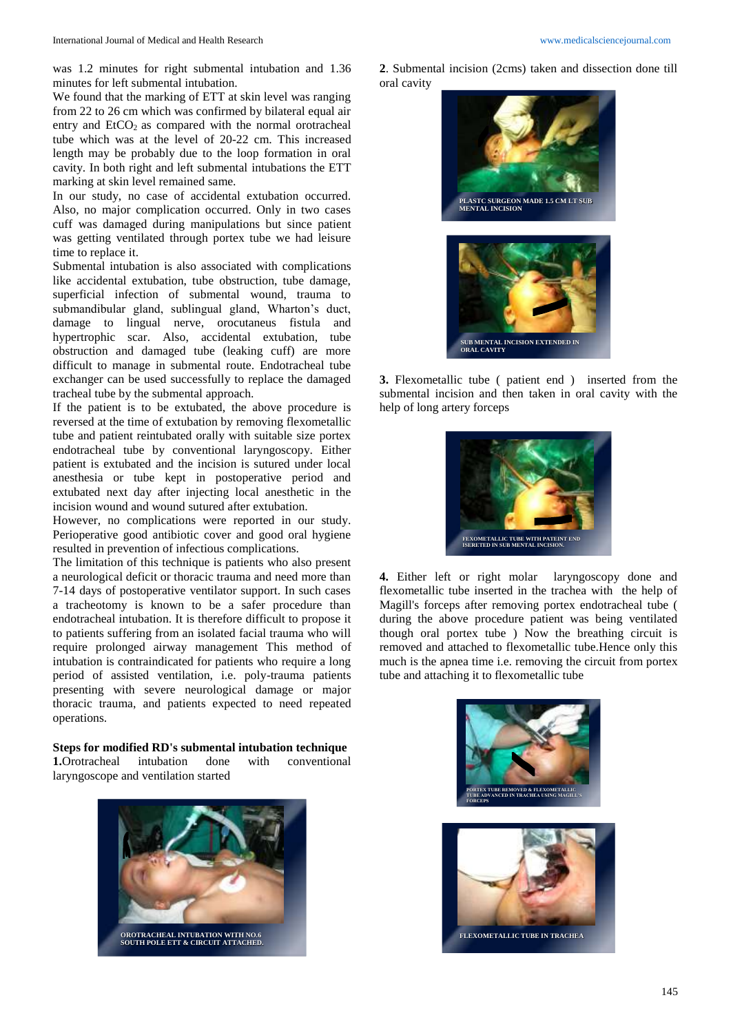was 1.2 minutes for right submental intubation and 1.36 minutes for left submental intubation.

We found that the marking of ETT at skin level was ranging from 22 to 26 cm which was confirmed by bilateral equal air entry and  $EtCO<sub>2</sub>$  as compared with the normal orotracheal tube which was at the level of 20-22 cm. This increased length may be probably due to the loop formation in oral cavity. In both right and left submental intubations the ETT marking at skin level remained same.

In our study, no case of accidental extubation occurred. Also, no major complication occurred. Only in two cases cuff was damaged during manipulations but since patient was getting ventilated through portex tube we had leisure time to replace it.

Submental intubation is also associated with complications like accidental extubation, tube obstruction, tube damage, superficial infection of submental wound, trauma to submandibular gland, sublingual gland, Wharton's duct, damage to lingual nerve, orocutaneus fistula and hypertrophic scar. Also, accidental extubation, tube obstruction and damaged tube (leaking cuff) are more difficult to manage in submental route. Endotracheal tube exchanger can be used successfully to replace the damaged tracheal tube by the submental approach.

If the patient is to be extubated, the above procedure is reversed at the time of extubation by removing flexometallic tube and patient reintubated orally with suitable size portex endotracheal tube by conventional laryngoscopy. Either patient is extubated and the incision is sutured under local anesthesia or tube kept in postoperative period and extubated next day after injecting local anesthetic in the incision wound and wound sutured after extubation.

However, no complications were reported in our study. Perioperative good antibiotic cover and good oral hygiene resulted in prevention of infectious complications.

The limitation of this technique is patients who also present a neurological deficit or thoracic trauma and need more than 7-14 days of postoperative ventilator support. In such cases a tracheotomy is known to be a safer procedure than endotracheal intubation. It is therefore difficult to propose it to patients suffering from an isolated facial trauma who will require prolonged airway management This method of intubation is contraindicated for patients who require a long period of assisted ventilation, i.e. poly-trauma patients presenting with severe neurological damage or major thoracic trauma, and patients expected to need repeated operations.

**Steps for modified RD's submental intubation technique 1.**<br>Orotracheal intubation done with conventional **1.**Orotracheal intubation done with conventional laryngoscope and ventilation started



**2**. Submental incision (2cms) taken and dissection done till oral cavity



**3.** Flexometallic tube ( patient end ) inserted from the submental incision and then taken in oral cavity with the

**SUB MENTAL INCISION EXTENDED IN ORAL CAVITY**

help of long artery forceps



**4.** Either left or right molar laryngoscopy done and flexometallic tube inserted in the trachea with the help of Magill's forceps after removing portex endotracheal tube ( during the above procedure patient was being ventilated though oral portex tube ) Now the breathing circuit is removed and attached to flexometallic tube.Hence only this much is the apnea time i.e. removing the circuit from portex tube and attaching it to flexometallic tube